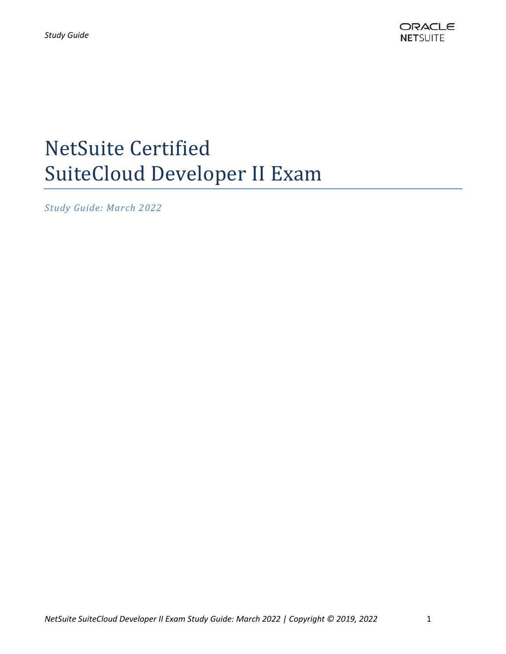

# NetSuite Certified SuiteCloud Developer II Exam

*Study Guide: March 2022*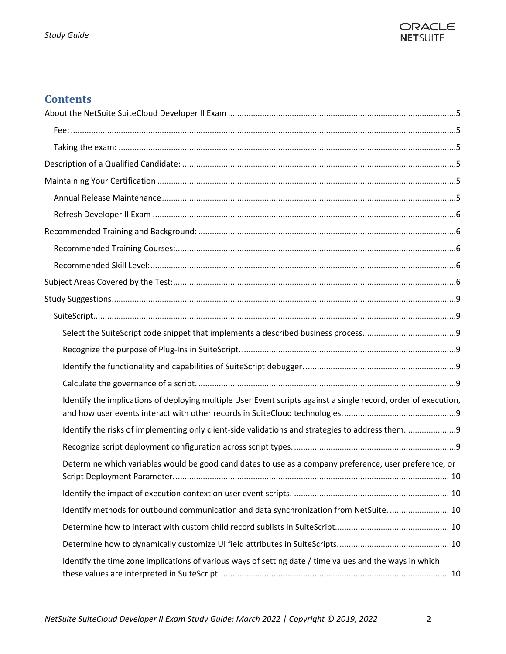

# **Contents**

| Identify the implications of deploying multiple User Event scripts against a single record, order of execution, |  |
|-----------------------------------------------------------------------------------------------------------------|--|
| Identify the risks of implementing only client-side validations and strategies to address them. 9               |  |
|                                                                                                                 |  |
| Determine which variables would be good candidates to use as a company preference, user preference, or          |  |
|                                                                                                                 |  |
| Identify methods for outbound communication and data synchronization from NetSuite 10                           |  |
|                                                                                                                 |  |
|                                                                                                                 |  |
| Identify the time zone implications of various ways of setting date / time values and the ways in which         |  |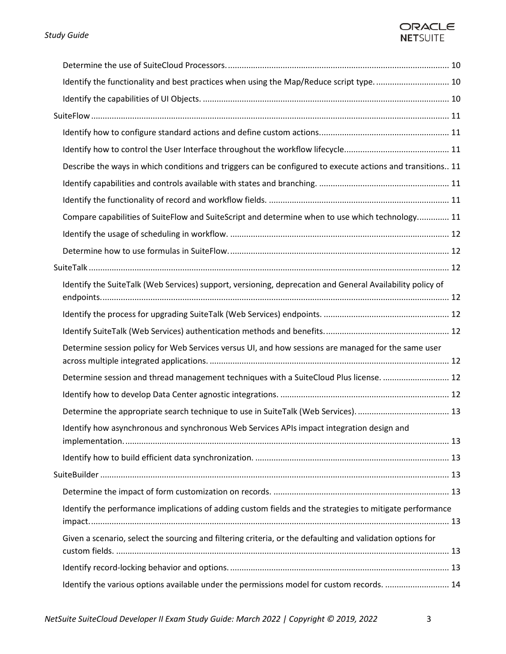## ORACLE **NETSUITE**

| Identify the functionality and best practices when using the Map/Reduce script type.  10                   |  |
|------------------------------------------------------------------------------------------------------------|--|
|                                                                                                            |  |
|                                                                                                            |  |
|                                                                                                            |  |
|                                                                                                            |  |
| Describe the ways in which conditions and triggers can be configured to execute actions and transitions 11 |  |
|                                                                                                            |  |
|                                                                                                            |  |
| Compare capabilities of SuiteFlow and SuiteScript and determine when to use which technology 11            |  |
|                                                                                                            |  |
|                                                                                                            |  |
|                                                                                                            |  |
| Identify the SuiteTalk (Web Services) support, versioning, deprecation and General Availability policy of  |  |
|                                                                                                            |  |
|                                                                                                            |  |
| Determine session policy for Web Services versus UI, and how sessions are managed for the same user        |  |
| Determine session and thread management techniques with a SuiteCloud Plus license.  12                     |  |
|                                                                                                            |  |
|                                                                                                            |  |
| Identify how asynchronous and synchronous Web Services APIs impact integration design and                  |  |
|                                                                                                            |  |
|                                                                                                            |  |
|                                                                                                            |  |
| Identify the performance implications of adding custom fields and the strategies to mitigate performance   |  |
| Given a scenario, select the sourcing and filtering criteria, or the defaulting and validation options for |  |
|                                                                                                            |  |
| Identify the various options available under the permissions model for custom records.  14                 |  |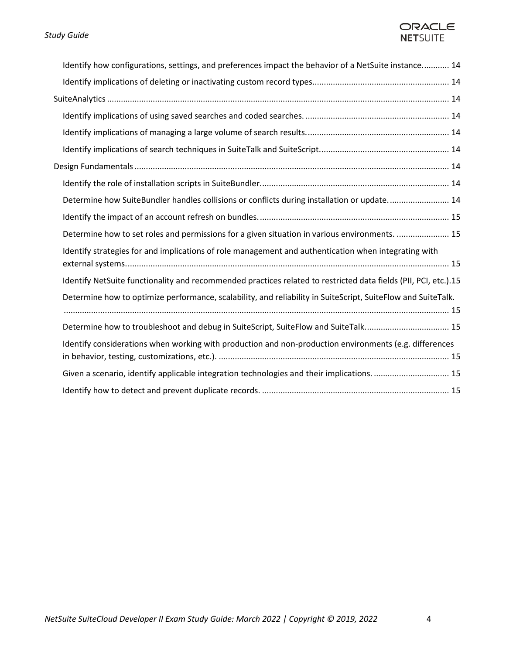## ORACLE **NETSUITE**

| Identify how configurations, settings, and preferences impact the behavior of a NetSuite instance 14            |
|-----------------------------------------------------------------------------------------------------------------|
|                                                                                                                 |
|                                                                                                                 |
|                                                                                                                 |
|                                                                                                                 |
|                                                                                                                 |
|                                                                                                                 |
|                                                                                                                 |
| Determine how SuiteBundler handles collisions or conflicts during installation or update 14                     |
|                                                                                                                 |
| Determine how to set roles and permissions for a given situation in various environments.  15                   |
| Identify strategies for and implications of role management and authentication when integrating with            |
| Identify NetSuite functionality and recommended practices related to restricted data fields (PII, PCI, etc.).15 |
| Determine how to optimize performance, scalability, and reliability in SuiteScript, SuiteFlow and SuiteTalk.    |
| Determine how to troubleshoot and debug in SuiteScript, SuiteFlow and SuiteTalk 15                              |
| Identify considerations when working with production and non-production environments (e.g. differences          |
| Given a scenario, identify applicable integration technologies and their implications.  15                      |
|                                                                                                                 |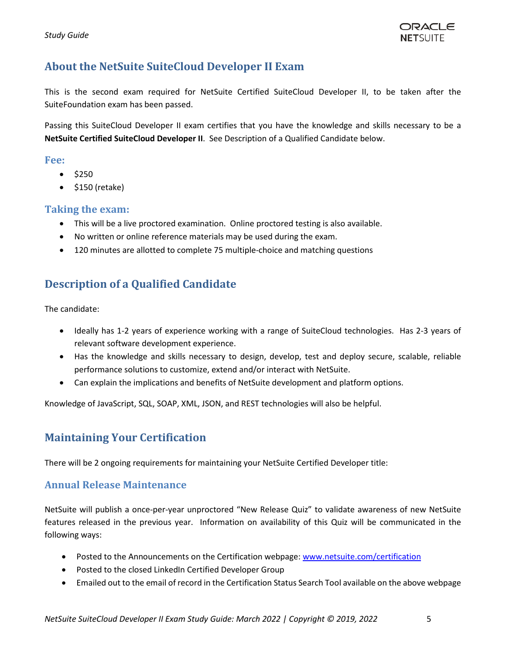

# <span id="page-4-0"></span>**About the NetSuite SuiteCloud Developer II Exam**

This is the second exam required for NetSuite Certified SuiteCloud Developer II, to be taken after the SuiteFoundation exam has been passed.

Passing this SuiteCloud Developer II exam certifies that you have the knowledge and skills necessary to be a **NetSuite Certified SuiteCloud Developer II**. See Description of a Qualified Candidate below.

## <span id="page-4-1"></span>**Fee:**

- $•$  \$250
- \$150 (retake)

## <span id="page-4-2"></span>**Taking the exam:**

- This will be a live proctored examination. Online proctored testing is also available.
- No written or online reference materials may be used during the exam.
- 120 minutes are allotted to complete 75 multiple-choice and matching questions

# <span id="page-4-3"></span>**Description of a Qualified Candidate**

The candidate:

- Ideally has 1-2 years of experience working with a range of SuiteCloud technologies. Has 2-3 years of relevant software development experience.
- Has the knowledge and skills necessary to design, develop, test and deploy secure, scalable, reliable performance solutions to customize, extend and/or interact with NetSuite.
- Can explain the implications and benefits of NetSuite development and platform options.

Knowledge of JavaScript, SQL, SOAP, XML, JSON, and REST technologies will also be helpful.

# <span id="page-4-4"></span>**Maintaining Your Certification**

There will be 2 ongoing requirements for maintaining your NetSuite Certified Developer title:

## <span id="page-4-5"></span>**Annual Release Maintenance**

NetSuite will publish a once-per-year unproctored "New Release Quiz" to validate awareness of new NetSuite features released in the previous year. Information on availability of this Quiz will be communicated in the following ways:

- Posted to the Announcements on the Certification webpage: [www.netsuite.com/certification](http://www.netsuite.com/certification)
- Posted to the closed LinkedIn Certified Developer Group
- Emailed out to the email of record in the Certification Status Search Tool available on the above webpage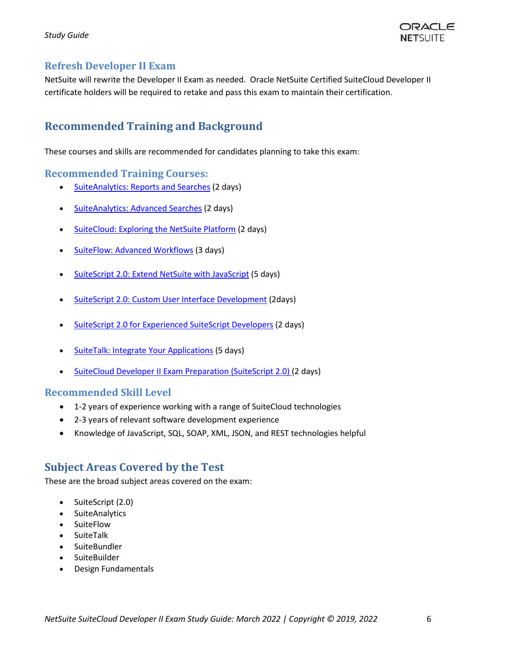

## <span id="page-5-0"></span>**Refresh Developer II Exam**

NetSuite will rewrite the Developer II Exam as needed. Oracle NetSuite Certified SuiteCloud Developer II certificate holders will be required to retake and pass this exam to maintain their certification.

# <span id="page-5-1"></span>**Recommended Training and Background**

These courses and skills are recommended for candidates planning to take this exam:

## <span id="page-5-2"></span>**Recommended Training Courses:**

- [SuiteAnalytics: Reports and Searches](http://www.netsuite.com/portal/services/training/description-suite-analytics-reports-and-searches.shtml) (2 days)
- [SuiteAnalytics: Advanced Searches](http://www.netsuite.com/portal/services/training/description-suite-analytics-advanced-searches.shtml) (2 days)
- [SuiteCloud: Exploring the NetSuite Platform](http://www.netsuite.com/portal/services/training/description-suitecloud-exploring-the-netsuite-platform.shtml) (2 days)
- [SuiteFlow: Advanced Workflows](http://www.netsuite.com/portal/services/training/suite-training/description-suiteflow-advanced-workflows.shtml) (3 days)
- SuiteScript [2.0: Extend NetSuite with JavaScript](http://www.netsuite.com/portal/services/training/suite-training/description-suitescript-2.shtml) (5 days)
- **[SuiteScript 2.0: Custom User Interface Development](https://www.netsuite.com/portal/services/training/suite-training/description-suitescript-2-cuid.shtml) (2days)**
- [SuiteScript 2.0 for Experienced SuiteScript Developers](https://www.netsuite.com/portal/services/training/suite-training/description-suitescript-2-experienced.shtml) (2 days)
- [SuiteTalk: Integrate Your Applications](http://www.netsuite.com/portal/services/training/description-suitetalk.shtml) (5 days)
- [SuiteCloud Developer II Exam Preparation \(SuiteScript 2.0\)](https://www.netsuite.com/portal/services/training/suite-training/description-suitecloud-dev-exam-preparation.shtml) (2 days)

## <span id="page-5-3"></span>**Recommended Skill Level**

- 1-2 years of experience working with a range of SuiteCloud technologies
- 2-3 years of relevant software development experience
- Knowledge of JavaScript, SQL, SOAP, XML, JSON, and REST technologies helpful

# <span id="page-5-4"></span>**Subject Areas Covered by the Test**

These are the broad subject areas covered on the exam:

- SuiteScript (2.0)
- SuiteAnalytics
- SuiteFlow
- SuiteTalk
- SuiteBundler
- SuiteBuilder
- Design Fundamentals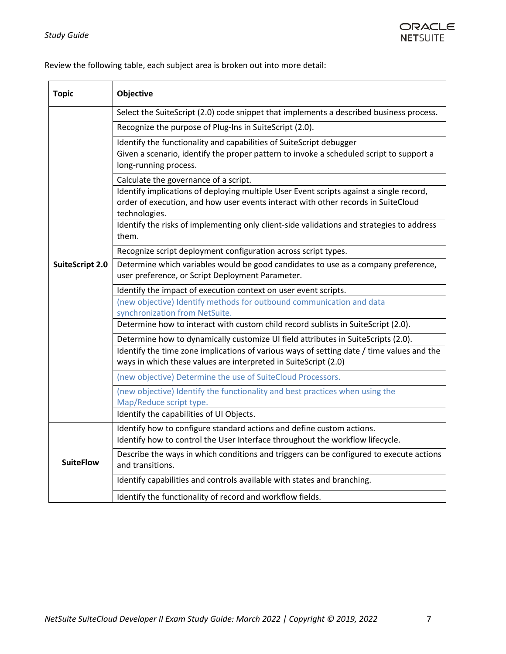

Review the following table, each subject area is broken out into more detail:

| <b>Topic</b>           | Objective                                                                                                                                                                                     |
|------------------------|-----------------------------------------------------------------------------------------------------------------------------------------------------------------------------------------------|
| <b>SuiteScript 2.0</b> | Select the SuiteScript (2.0) code snippet that implements a described business process.                                                                                                       |
|                        | Recognize the purpose of Plug-Ins in SuiteScript (2.0).                                                                                                                                       |
|                        | Identify the functionality and capabilities of SuiteScript debugger                                                                                                                           |
|                        | Given a scenario, identify the proper pattern to invoke a scheduled script to support a<br>long-running process.                                                                              |
|                        | Calculate the governance of a script.                                                                                                                                                         |
|                        | Identify implications of deploying multiple User Event scripts against a single record,<br>order of execution, and how user events interact with other records in SuiteCloud<br>technologies. |
|                        | Identify the risks of implementing only client-side validations and strategies to address<br>them.                                                                                            |
|                        | Recognize script deployment configuration across script types.                                                                                                                                |
|                        | Determine which variables would be good candidates to use as a company preference,<br>user preference, or Script Deployment Parameter.                                                        |
|                        | Identify the impact of execution context on user event scripts.                                                                                                                               |
|                        | (new objective) Identify methods for outbound communication and data<br>synchronization from NetSuite.                                                                                        |
|                        | Determine how to interact with custom child record sublists in SuiteScript (2.0).                                                                                                             |
|                        | Determine how to dynamically customize UI field attributes in SuiteScripts (2.0).                                                                                                             |
|                        | Identify the time zone implications of various ways of setting date / time values and the                                                                                                     |
|                        | ways in which these values are interpreted in SuiteScript (2.0)                                                                                                                               |
|                        | (new objective) Determine the use of SuiteCloud Processors.                                                                                                                                   |
|                        | (new objective) Identify the functionality and best practices when using the<br>Map/Reduce script type.                                                                                       |
|                        | Identify the capabilities of UI Objects.                                                                                                                                                      |
|                        | Identify how to configure standard actions and define custom actions.                                                                                                                         |
|                        | Identify how to control the User Interface throughout the workflow lifecycle.                                                                                                                 |
| <b>SuiteFlow</b>       | Describe the ways in which conditions and triggers can be configured to execute actions<br>and transitions.                                                                                   |
|                        | Identify capabilities and controls available with states and branching.                                                                                                                       |
|                        | Identify the functionality of record and workflow fields.                                                                                                                                     |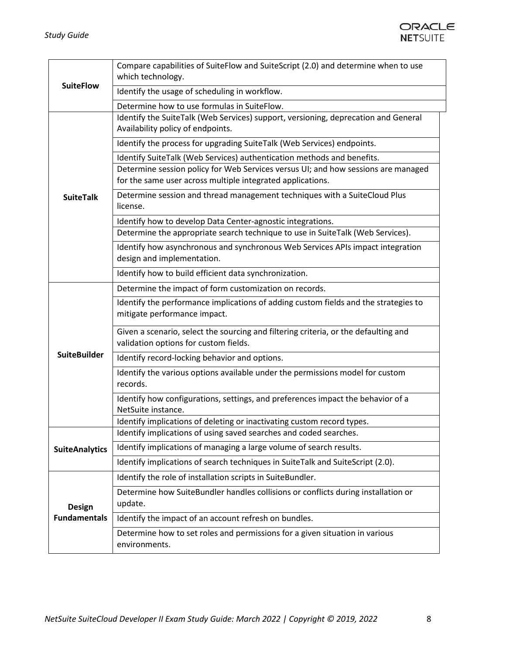

| <b>SuiteFlow</b>                     | Compare capabilities of SuiteFlow and SuiteScript (2.0) and determine when to use            |
|--------------------------------------|----------------------------------------------------------------------------------------------|
|                                      | which technology.                                                                            |
|                                      | Identify the usage of scheduling in workflow.                                                |
|                                      | Determine how to use formulas in SuiteFlow.                                                  |
|                                      | Identify the SuiteTalk (Web Services) support, versioning, deprecation and General           |
|                                      | Availability policy of endpoints.                                                            |
|                                      | Identify the process for upgrading SuiteTalk (Web Services) endpoints.                       |
|                                      | Identify SuiteTalk (Web Services) authentication methods and benefits.                       |
|                                      | Determine session policy for Web Services versus UI; and how sessions are managed            |
|                                      | for the same user across multiple integrated applications.                                   |
| <b>SuiteTalk</b>                     | Determine session and thread management techniques with a SuiteCloud Plus<br>license.        |
|                                      | Identify how to develop Data Center-agnostic integrations.                                   |
|                                      | Determine the appropriate search technique to use in SuiteTalk (Web Services).               |
|                                      | Identify how asynchronous and synchronous Web Services APIs impact integration               |
|                                      | design and implementation.                                                                   |
|                                      | Identify how to build efficient data synchronization.                                        |
|                                      | Determine the impact of form customization on records.                                       |
|                                      | Identify the performance implications of adding custom fields and the strategies to          |
|                                      | mitigate performance impact.                                                                 |
|                                      | Given a scenario, select the sourcing and filtering criteria, or the defaulting and          |
|                                      | validation options for custom fields.                                                        |
| <b>SuiteBuilder</b>                  | Identify record-locking behavior and options.                                                |
|                                      | Identify the various options available under the permissions model for custom                |
|                                      | records.                                                                                     |
|                                      | Identify how configurations, settings, and preferences impact the behavior of a              |
|                                      | NetSuite instance.                                                                           |
|                                      | Identify implications of deleting or inactivating custom record types.                       |
|                                      | Identify implications of using saved searches and coded searches.                            |
| <b>SuiteAnalytics</b>                | Identify implications of managing a large volume of search results.                          |
|                                      | Identify implications of search techniques in SuiteTalk and SuiteScript (2.0).               |
|                                      | Identify the role of installation scripts in SuiteBundler.                                   |
| <b>Design</b><br><b>Fundamentals</b> | Determine how SuiteBundler handles collisions or conflicts during installation or<br>update. |
|                                      |                                                                                              |
|                                      | Identify the impact of an account refresh on bundles.                                        |
|                                      | Determine how to set roles and permissions for a given situation in various<br>environments. |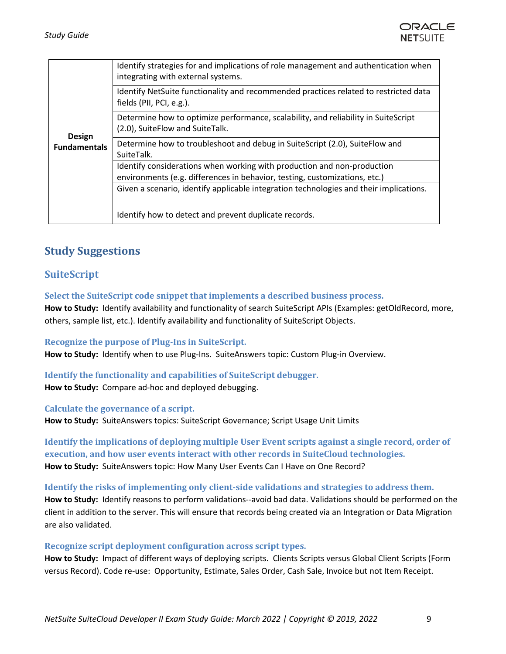

| <b>Design</b><br><b>Fundamentals</b> | Identify strategies for and implications of role management and authentication when<br>integrating with external systems.                                            |
|--------------------------------------|----------------------------------------------------------------------------------------------------------------------------------------------------------------------|
|                                      | Identify NetSuite functionality and recommended practices related to restricted data<br>fields (PII, PCI, e.g.).                                                     |
|                                      | Determine how to optimize performance, scalability, and reliability in SuiteScript<br>(2.0), SuiteFlow and SuiteTalk.                                                |
|                                      | Determine how to troubleshoot and debug in SuiteScript (2.0), SuiteFlow and<br>SuiteTalk.                                                                            |
|                                      | Identify considerations when working with production and non-production                                                                                              |
|                                      | environments (e.g. differences in behavior, testing, customizations, etc.)<br>Given a scenario, identify applicable integration technologies and their implications. |
|                                      |                                                                                                                                                                      |
|                                      | Identify how to detect and prevent duplicate records.                                                                                                                |

# <span id="page-8-0"></span>**Study Suggestions**

## <span id="page-8-1"></span>**SuiteScript**

#### <span id="page-8-2"></span>**Select the SuiteScript code snippet that implements a described business process.**

**How to Study:** Identify availability and functionality of search SuiteScript APIs (Examples: getOldRecord, more, others, sample list, etc.). Identify availability and functionality of SuiteScript Objects.

#### <span id="page-8-3"></span>**Recognize the purpose of Plug-Ins in SuiteScript.**

**How to Study:** Identify when to use Plug-Ins. SuiteAnswers topic: Custom Plug-in Overview.

## <span id="page-8-4"></span>**Identify the functionality and capabilities of SuiteScript debugger.**

**How to Study:** Compare ad-hoc and deployed debugging.

#### <span id="page-8-5"></span>**Calculate the governance of a script.**

**How to Study:** SuiteAnswers topics: SuiteScript Governance; Script Usage Unit Limits

<span id="page-8-6"></span>**Identify the implications of deploying multiple User Event scripts against a single record, order of execution, and how user events interact with other records in SuiteCloud technologies. How to Study:** SuiteAnswers topic: How Many User Events Can I Have on One Record?

<span id="page-8-7"></span>**Identify the risks of implementing only client-side validations and strategies to address them. How to Study:** Identify reasons to perform validations--avoid bad data. Validations should be performed on the client in addition to the server. This will ensure that records being created via an Integration or Data Migration are also validated.

#### <span id="page-8-8"></span>**Recognize script deployment configuration across script types.**

**How to Study:** Impact of different ways of deploying scripts. Clients Scripts versus Global Client Scripts (Form versus Record). Code re-use: Opportunity, Estimate, Sales Order, Cash Sale, Invoice but not Item Receipt.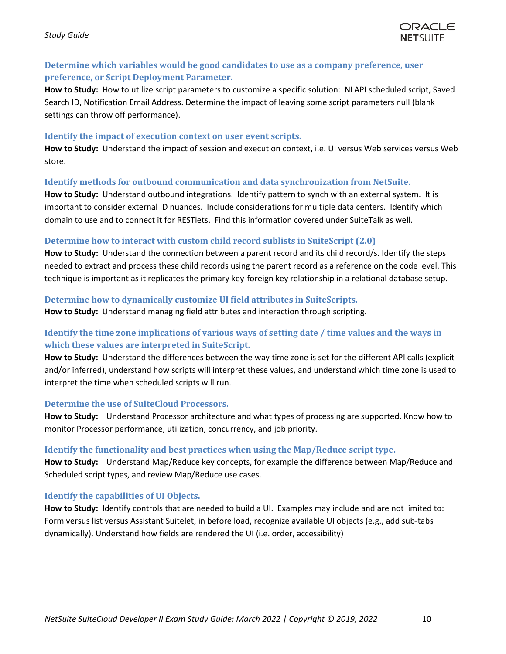

## <span id="page-9-0"></span>**Determine which variables would be good candidates to use as a company preference, user preference, or Script Deployment Parameter.**

**How to Study:** How to utilize script parameters to customize a specific solution: NLAPI scheduled script, Saved Search ID, Notification Email Address. Determine the impact of leaving some script parameters null (blank settings can throw off performance).

## <span id="page-9-1"></span>**Identify the impact of execution context on user event scripts.**

**How to Study:** Understand the impact of session and execution context, i.e. UI versus Web services versus Web store.

## <span id="page-9-2"></span>**Identify methods for outbound communication and data synchronization from NetSuite.**

**How to Study:** Understand outbound integrations. Identify pattern to synch with an external system. It is important to consider external ID nuances. Include considerations for multiple data centers. Identify which domain to use and to connect it for RESTlets. Find this information covered under SuiteTalk as well.

## <span id="page-9-3"></span>**Determine how to interact with custom child record sublists in SuiteScript (2.0)**

**How to Study:** Understand the connection between a parent record and its child record/s. Identify the steps needed to extract and process these child records using the parent record as a reference on the code level. This technique is important as it replicates the primary key-foreign key relationship in a relational database setup.

## <span id="page-9-4"></span>**Determine how to dynamically customize UI field attributes in SuiteScripts.**

**How to Study:** Understand managing field attributes and interaction through scripting.

## <span id="page-9-5"></span>**Identify the time zone implications of various ways of setting date / time values and the ways in which these values are interpreted in SuiteScript.**

**How to Study:** Understand the differences between the way time zone is set for the different API calls (explicit and/or inferred), understand how scripts will interpret these values, and understand which time zone is used to interpret the time when scheduled scripts will run.

## <span id="page-9-6"></span>**Determine the use of SuiteCloud Processors.**

**How to Study:** Understand Processor architecture and what types of processing are supported. Know how to monitor Processor performance, utilization, concurrency, and job priority.

## <span id="page-9-7"></span>**Identify the functionality and best practices when using the Map/Reduce script type.**

**How to Study:** Understand Map/Reduce key concepts, for example the difference between Map/Reduce and Scheduled script types, and review Map/Reduce use cases.

## <span id="page-9-8"></span>**Identify the capabilities of UI Objects.**

**How to Study:** Identify controls that are needed to build a UI. Examples may include and are not limited to: Form versus list versus Assistant Suitelet, in before load, recognize available UI objects (e.g., add sub-tabs dynamically). Understand how fields are rendered the UI (i.e. order, accessibility)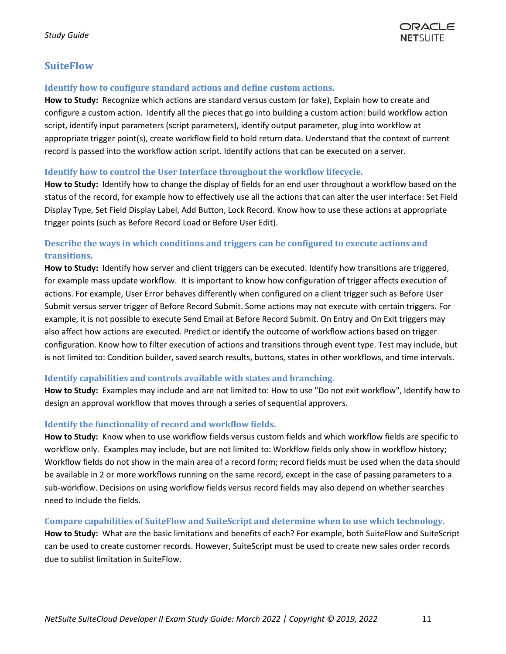

## <span id="page-10-0"></span>**SuiteFlow**

## <span id="page-10-1"></span>**Identify how to configure standard actions and define custom actions.**

**How to Study:** Recognize which actions are standard versus custom (or fake), Explain how to create and configure a custom action. Identify all the pieces that go into building a custom action: build workflow action script, identify input parameters (script parameters), identify output parameter, plug into workflow at appropriate trigger point(s), create workflow field to hold return data. Understand that the context of current record is passed into the workflow action script. Identify actions that can be executed on a server.

## <span id="page-10-2"></span>**Identify how to control the User Interface throughout the workflow lifecycle.**

**How to Study:** Identify how to change the display of fields for an end user throughout a workflow based on the status of the record, for example how to effectively use all the actions that can alter the user interface: Set Field Display Type, Set Field Display Label, Add Button, Lock Record. Know how to use these actions at appropriate trigger points (such as Before Record Load or Before User Edit).

## <span id="page-10-3"></span>**Describe the ways in which conditions and triggers can be configured to execute actions and transitions.**

**How to Study:** Identify how server and client triggers can be executed. Identify how transitions are triggered, for example mass update workflow. It is important to know how configuration of trigger affects execution of actions. For example, User Error behaves differently when configured on a client trigger such as Before User Submit versus server trigger of Before Record Submit. Some actions may not execute with certain triggers. For example, it is not possible to execute Send Email at Before Record Submit. On Entry and On Exit triggers may also affect how actions are executed. Predict or identify the outcome of workflow actions based on trigger configuration. Know how to filter execution of actions and transitions through event type. Test may include, but is not limited to: Condition builder, saved search results, buttons, states in other workflows, and time intervals.

## <span id="page-10-4"></span>**Identify capabilities and controls available with states and branching.**

**How to Study:** Examples may include and are not limited to: How to use "Do not exit workflow", Identify how to design an approval workflow that moves through a series of sequential approvers.

## <span id="page-10-5"></span>**Identify the functionality of record and workflow fields.**

**How to Study:** Know when to use workflow fields versus custom fields and which workflow fields are specific to workflow only. Examples may include, but are not limited to: Workflow fields only show in workflow history; Workflow fields do not show in the main area of a record form; record fields must be used when the data should be available in 2 or more workflows running on the same record, except in the case of passing parameters to a sub-workflow. Decisions on using workflow fields versus record fields may also depend on whether searches need to include the fields.

#### <span id="page-10-6"></span>**Compare capabilities of SuiteFlow and SuiteScript and determine when to use which technology.**

**How to Study:** What are the basic limitations and benefits of each? For example, both SuiteFlow and SuiteScript can be used to create customer records. However, SuiteScript must be used to create new sales order records due to sublist limitation in SuiteFlow.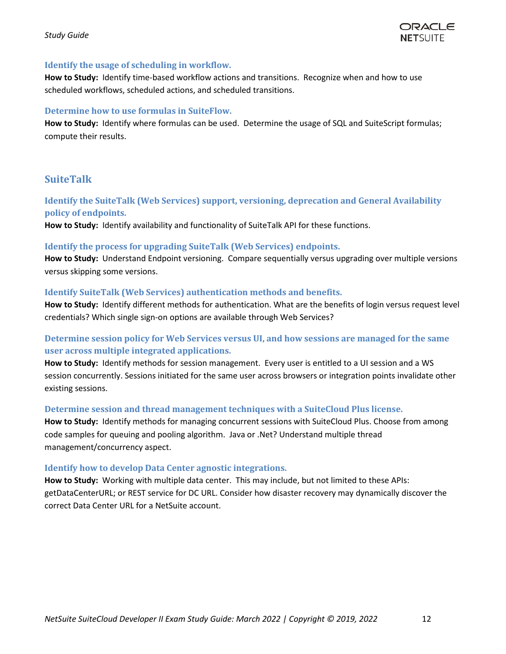#### *Study Guide*



## <span id="page-11-0"></span>**Identify the usage of scheduling in workflow.**

**How to Study:** Identify time-based workflow actions and transitions. Recognize when and how to use scheduled workflows, scheduled actions, and scheduled transitions.

## <span id="page-11-1"></span>**Determine how to use formulas in SuiteFlow.**

How to Study: Identify where formulas can be used. Determine the usage of SQL and SuiteScript formulas; compute their results.

## <span id="page-11-2"></span>**SuiteTalk**

## <span id="page-11-3"></span>**Identify the SuiteTalk (Web Services) support, versioning, deprecation and General Availability policy of endpoints.**

**How to Study:** Identify availability and functionality of SuiteTalk API for these functions.

#### <span id="page-11-4"></span>**Identify the process for upgrading SuiteTalk (Web Services) endpoints.**

**How to Study:** Understand Endpoint versioning. Compare sequentially versus upgrading over multiple versions versus skipping some versions.

#### <span id="page-11-5"></span>**Identify SuiteTalk (Web Services) authentication methods and benefits.**

**How to Study:** Identify different methods for authentication. What are the benefits of login versus request level credentials? Which single sign-on options are available through Web Services?

## <span id="page-11-6"></span>**Determine session policy for Web Services versus UI, and how sessions are managed for the same user across multiple integrated applications.**

**How to Study:** Identify methods for session management. Every user is entitled to a UI session and a WS session concurrently. Sessions initiated for the same user across browsers or integration points invalidate other existing sessions.

## <span id="page-11-7"></span>**Determine session and thread management techniques with a SuiteCloud Plus license.**

**How to Study:** Identify methods for managing concurrent sessions with SuiteCloud Plus. Choose from among code samples for queuing and pooling algorithm. Java or .Net? Understand multiple thread management/concurrency aspect.

## <span id="page-11-8"></span>**Identify how to develop Data Center agnostic integrations.**

**How to Study:** Working with multiple data center. This may include, but not limited to these APIs: getDataCenterURL; or REST service for DC URL. Consider how disaster recovery may dynamically discover the correct Data Center URL for a NetSuite account.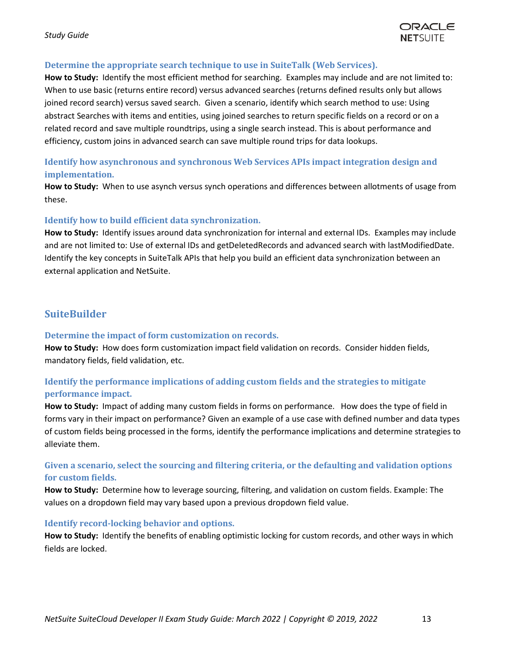

## <span id="page-12-0"></span>**Determine the appropriate search technique to use in SuiteTalk (Web Services).**

**How to Study:** Identify the most efficient method for searching. Examples may include and are not limited to: When to use basic (returns entire record) versus advanced searches (returns defined results only but allows joined record search) versus saved search. Given a scenario, identify which search method to use: Using abstract Searches with items and entities, using joined searches to return specific fields on a record or on a related record and save multiple roundtrips, using a single search instead. This is about performance and efficiency, custom joins in advanced search can save multiple round trips for data lookups.

## <span id="page-12-1"></span>**Identify how asynchronous and synchronous Web Services APIs impact integration design and implementation.**

**How to Study:** When to use asynch versus synch operations and differences between allotments of usage from these.

## <span id="page-12-2"></span>**Identify how to build efficient data synchronization.**

**How to Study:** Identify issues around data synchronization for internal and external IDs. Examples may include and are not limited to: Use of external IDs and getDeletedRecords and advanced search with lastModifiedDate. Identify the key concepts in SuiteTalk APIs that help you build an efficient data synchronization between an external application and NetSuite.

## <span id="page-12-3"></span>**SuiteBuilder**

## <span id="page-12-4"></span>**Determine the impact of form customization on records.**

**How to Study:** How does form customization impact field validation on records. Consider hidden fields, mandatory fields, field validation, etc.

## <span id="page-12-5"></span>**Identify the performance implications of adding custom fields and the strategies to mitigate performance impact.**

**How to Study:** Impact of adding many custom fields in forms on performance. How does the type of field in forms vary in their impact on performance? Given an example of a use case with defined number and data types of custom fields being processed in the forms, identify the performance implications and determine strategies to alleviate them.

## <span id="page-12-6"></span>**Given a scenario, select the sourcing and filtering criteria, or the defaulting and validation options for custom fields.**

**How to Study:** Determine how to leverage sourcing, filtering, and validation on custom fields. Example: The values on a dropdown field may vary based upon a previous dropdown field value.

## <span id="page-12-7"></span>**Identify record-locking behavior and options.**

**How to Study:** Identify the benefits of enabling optimistic locking for custom records, and other ways in which fields are locked.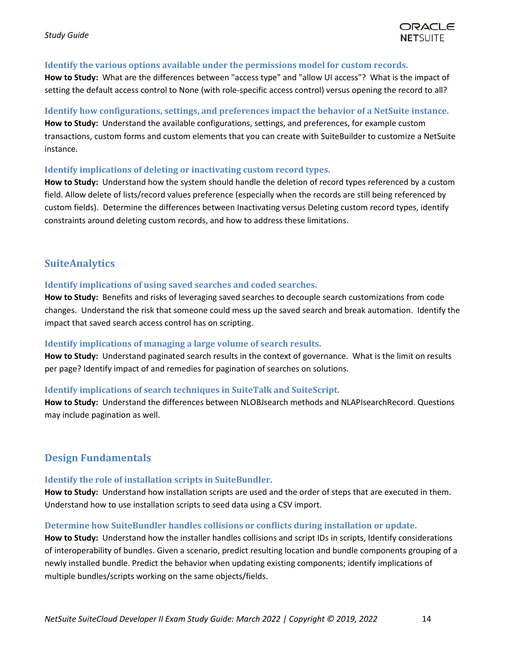

## <span id="page-13-0"></span>**Identify the various options available under the permissions model for custom records.**

**How to Study:** What are the differences between "access type" and "allow UI access"? What is the impact of setting the default access control to None (with role-specific access control) versus opening the record to all?

## <span id="page-13-1"></span>**Identify how configurations, settings, and preferences impact the behavior of a NetSuite instance.**

**How to Study:** Understand the available configurations, settings, and preferences, for example custom transactions, custom forms and custom elements that you can create with SuiteBuilder to customize a NetSuite instance.

## <span id="page-13-2"></span>**Identify implications of deleting or inactivating custom record types.**

**How to Study:** Understand how the system should handle the deletion of record types referenced by a custom field. Allow delete of lists/record values preference (especially when the records are still being referenced by custom fields). Determine the differences between Inactivating versus Deleting custom record types, identify constraints around deleting custom records, and how to address these limitations.

## <span id="page-13-3"></span>**SuiteAnalytics**

## <span id="page-13-4"></span>**Identify implications of using saved searches and coded searches.**

**How to Study:** Benefits and risks of leveraging saved searches to decouple search customizations from code changes. Understand the risk that someone could mess up the saved search and break automation. Identify the impact that saved search access control has on scripting.

## <span id="page-13-5"></span>**Identify implications of managing a large volume of search results.**

**How to Study:** Understand paginated search results in the context of governance. What is the limit on results per page? Identify impact of and remedies for pagination of searches on solutions.

## <span id="page-13-6"></span>**Identify implications of search techniques in SuiteTalk and SuiteScript.**

**How to Study:** Understand the differences between NLOBJsearch methods and NLAPIsearchRecord. Questions may include pagination as well.

## <span id="page-13-7"></span>**Design Fundamentals**

## <span id="page-13-8"></span>**Identify the role of installation scripts in SuiteBundler.**

**How to Study:** Understand how installation scripts are used and the order of steps that are executed in them. Understand how to use installation scripts to seed data using a CSV import.

## <span id="page-13-9"></span>**Determine how SuiteBundler handles collisions or conflicts during installation or update.**

**How to Study:** Understand how the installer handles collisions and script IDs in scripts, Identify considerations of interoperability of bundles. Given a scenario, predict resulting location and bundle components grouping of a newly installed bundle. Predict the behavior when updating existing components; identify implications of multiple bundles/scripts working on the same objects/fields.